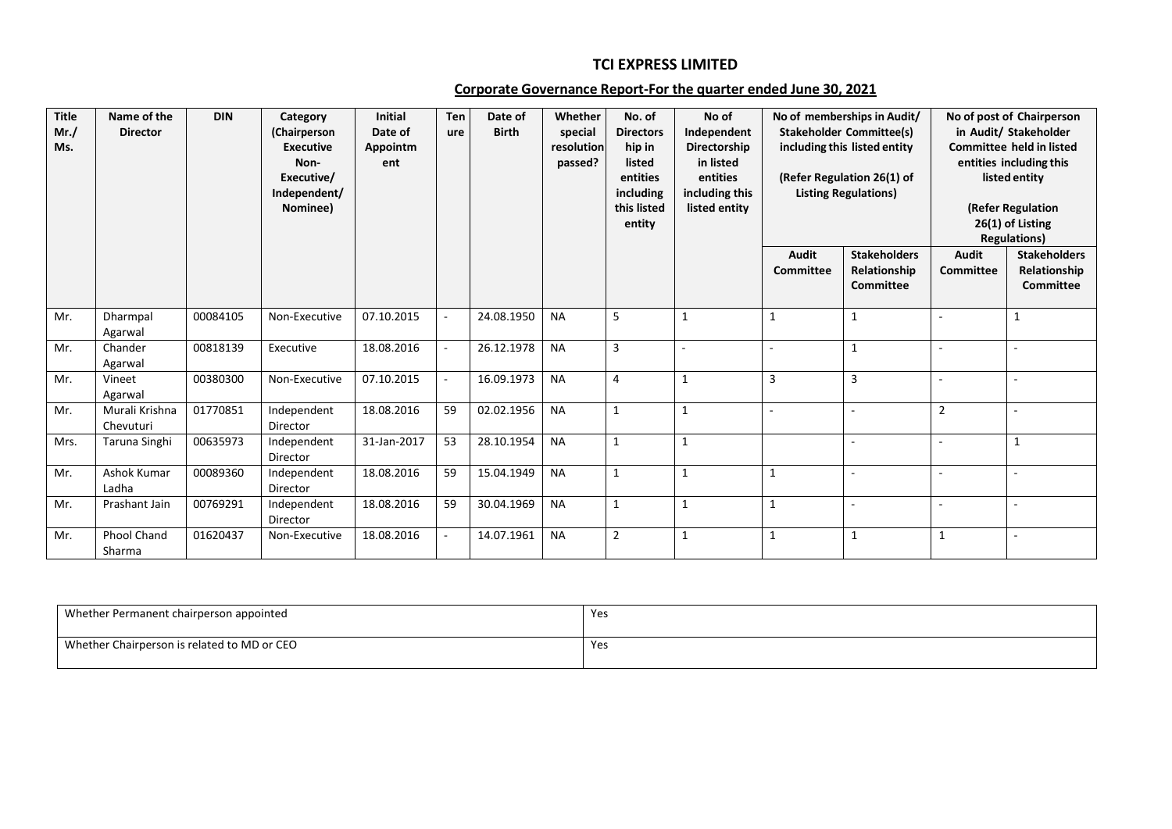## **TCI EXPRESS LIMITED**

## **Corporate Governance Report-For the quarter ended June 30, 2021**

| <b>Title</b><br>Mr. /<br>Ms. | Name of the<br><b>Director</b> | <b>DIN</b> | Category<br>(Chairperson<br><b>Executive</b><br>Non-<br>Executive/<br>Independent/<br>Nominee) | <b>Initial</b><br>Date of<br>Appointm<br>ent | Ten<br>ure | Date of<br><b>Birth</b> | Whether<br>special<br>resolution<br>passed? | No. of<br><b>Directors</b><br>hip in<br>listed<br>entities<br>including<br>this listed<br>entity | No of<br>Independent<br>Directorship<br>in listed<br>entities<br>including this<br>listed entity |                           | No of memberships in Audit/<br><b>Stakeholder Committee(s)</b><br>including this listed entity<br>(Refer Regulation 26(1) of<br><b>Listing Regulations)</b> |                                  | No of post of Chairperson<br>in Audit/ Stakeholder<br><b>Committee held in listed</b><br>entities including this<br>listed entity<br>(Refer Regulation<br>26(1) of Listing<br><b>Regulations)</b> |
|------------------------------|--------------------------------|------------|------------------------------------------------------------------------------------------------|----------------------------------------------|------------|-------------------------|---------------------------------------------|--------------------------------------------------------------------------------------------------|--------------------------------------------------------------------------------------------------|---------------------------|-------------------------------------------------------------------------------------------------------------------------------------------------------------|----------------------------------|---------------------------------------------------------------------------------------------------------------------------------------------------------------------------------------------------|
|                              |                                |            |                                                                                                |                                              |            |                         |                                             |                                                                                                  |                                                                                                  | <b>Audit</b><br>Committee | <b>Stakeholders</b><br>Relationship<br>Committee                                                                                                            | <b>Audit</b><br><b>Committee</b> | <b>Stakeholders</b><br>Relationship<br><b>Committee</b>                                                                                                                                           |
| Mr.                          | Dharmpal<br>Agarwal            | 00084105   | Non-Executive                                                                                  | 07.10.2015                                   | $\sim$     | 24.08.1950              | <b>NA</b>                                   | 5                                                                                                | $\mathbf{1}$                                                                                     | 1                         | $\mathbf{1}$                                                                                                                                                |                                  | $\mathbf{1}$                                                                                                                                                                                      |
| Mr.                          | Chander<br>Agarwal             | 00818139   | Executive                                                                                      | 18.08.2016                                   | $\sim$     | 26.12.1978              | <b>NA</b>                                   | 3                                                                                                | $\sim$                                                                                           |                           | $\mathbf{1}$                                                                                                                                                |                                  |                                                                                                                                                                                                   |
| Mr.                          | Vineet<br>Agarwal              | 00380300   | Non-Executive                                                                                  | 07.10.2015                                   | $\sim$     | 16.09.1973              | <b>NA</b>                                   | $\overline{4}$                                                                                   | $\mathbf{1}$                                                                                     | 3                         | 3                                                                                                                                                           | $\overline{\phantom{a}}$         |                                                                                                                                                                                                   |
| Mr.                          | Murali Krishna<br>Chevuturi    | 01770851   | Independent<br>Director                                                                        | 18.08.2016                                   | 59         | 02.02.1956              | <b>NA</b>                                   | $\mathbf{1}$                                                                                     | 1                                                                                                | $\overline{\phantom{a}}$  | $\sim$                                                                                                                                                      | $\overline{2}$                   |                                                                                                                                                                                                   |
| Mrs.                         | Taruna Singhi                  | 00635973   | Independent<br>Director                                                                        | 31-Jan-2017                                  | 53         | 28.10.1954              | <b>NA</b>                                   | $\mathbf{1}$                                                                                     | $\mathbf{1}$                                                                                     |                           | $\sim$                                                                                                                                                      |                                  | $\mathbf{1}$                                                                                                                                                                                      |
| Mr.                          | Ashok Kumar<br>Ladha           | 00089360   | Independent<br>Director                                                                        | 18.08.2016                                   | 59         | 15.04.1949              | <b>NA</b>                                   | $\mathbf{1}$                                                                                     | $\mathbf{1}$                                                                                     | 1                         | $\sim$                                                                                                                                                      |                                  |                                                                                                                                                                                                   |
| Mr.                          | Prashant Jain                  | 00769291   | Independent<br>Director                                                                        | 18.08.2016                                   | 59         | 30.04.1969              | <b>NA</b>                                   | $\mathbf{1}$                                                                                     | 1                                                                                                | 1                         | $\sim$                                                                                                                                                      |                                  | ä,                                                                                                                                                                                                |
| Mr.                          | <b>Phool Chand</b><br>Sharma   | 01620437   | Non-Executive                                                                                  | 18.08.2016                                   | $\sim$     | 14.07.1961              | <b>NA</b>                                   | $\overline{2}$                                                                                   | 1                                                                                                | 1                         | $\mathbf{1}$                                                                                                                                                | $\mathbf{1}$                     | ÷                                                                                                                                                                                                 |

| Whether Permanent chairperson appointed     | Yes |
|---------------------------------------------|-----|
| Whether Chairperson is related to MD or CEO | Yes |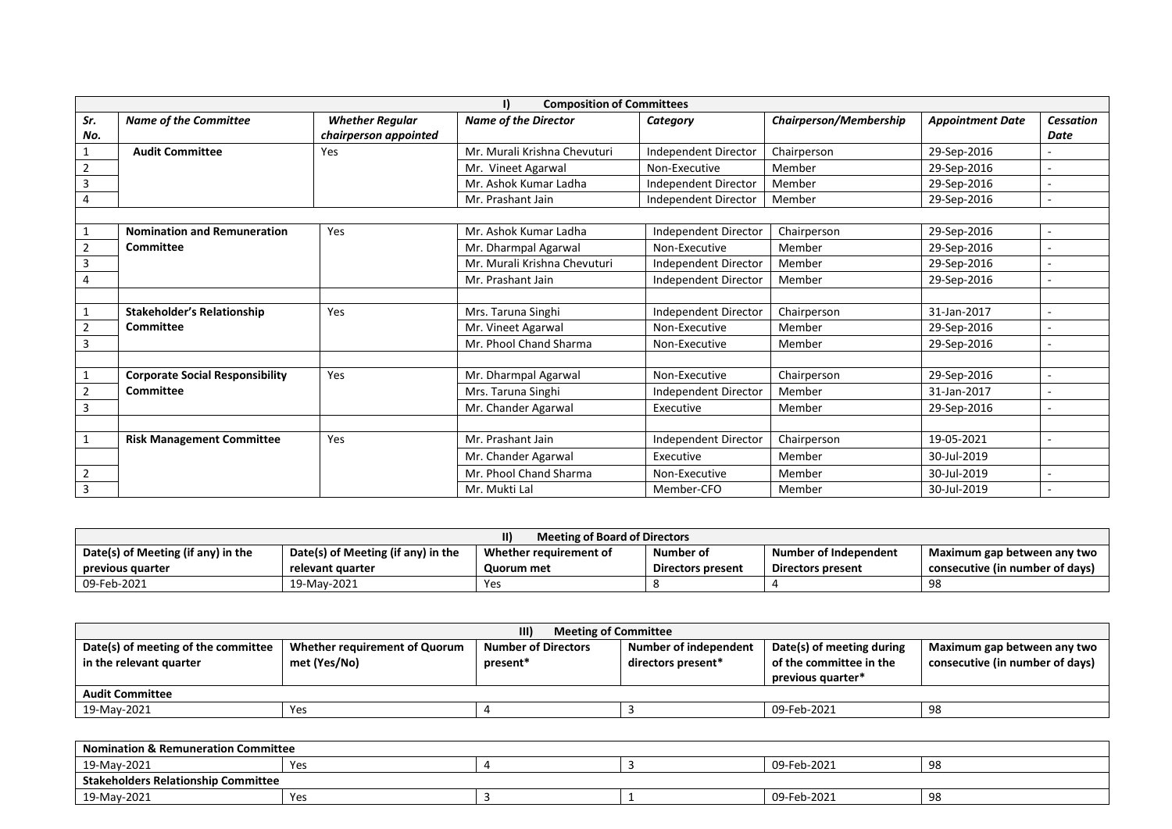|                |                                        |                        | <b>Composition of Committees</b> |                             |                               |                         |                  |
|----------------|----------------------------------------|------------------------|----------------------------------|-----------------------------|-------------------------------|-------------------------|------------------|
| Sr.            | <b>Name of the Committee</b>           | <b>Whether Regular</b> | <b>Name of the Director</b>      | Category                    | <b>Chairperson/Membership</b> | <b>Appointment Date</b> | <b>Cessation</b> |
| No.            |                                        | chairperson appointed  |                                  |                             |                               |                         | Date             |
|                | <b>Audit Committee</b>                 | Yes                    | Mr. Murali Krishna Chevuturi     | Independent Director        | Chairperson                   | 29-Sep-2016             |                  |
| $\overline{2}$ |                                        |                        | Mr. Vineet Agarwal               | Non-Executive               | Member                        | 29-Sep-2016             |                  |
| 3              |                                        |                        | Mr. Ashok Kumar Ladha            | <b>Independent Director</b> | Member                        | 29-Sep-2016             |                  |
| 4              |                                        |                        | Mr. Prashant Jain                | <b>Independent Director</b> | Member                        | 29-Sep-2016             |                  |
|                |                                        |                        |                                  |                             |                               |                         |                  |
|                | <b>Nomination and Remuneration</b>     | Yes                    | Mr. Ashok Kumar Ladha            | Independent Director        | Chairperson                   | 29-Sep-2016             |                  |
| $\overline{2}$ | <b>Committee</b>                       |                        | Mr. Dharmpal Agarwal             | Non-Executive               | Member                        | 29-Sep-2016             |                  |
| $\overline{3}$ |                                        |                        | Mr. Murali Krishna Chevuturi     | Independent Director        | Member                        | 29-Sep-2016             |                  |
|                |                                        |                        | Mr. Prashant Jain                | Independent Director        | Member                        | 29-Sep-2016             |                  |
|                |                                        |                        |                                  |                             |                               |                         |                  |
|                | <b>Stakeholder's Relationship</b>      | Yes                    | Mrs. Taruna Singhi               | Independent Director        | Chairperson                   | 31-Jan-2017             |                  |
| $\overline{2}$ | <b>Committee</b>                       |                        | Mr. Vineet Agarwal               | Non-Executive               | Member                        | 29-Sep-2016             |                  |
| $\overline{3}$ |                                        |                        | Mr. Phool Chand Sharma           | Non-Executive               | Member                        | 29-Sep-2016             |                  |
|                |                                        |                        |                                  |                             |                               |                         |                  |
|                | <b>Corporate Social Responsibility</b> | Yes                    | Mr. Dharmpal Agarwal             | Non-Executive               | Chairperson                   | 29-Sep-2016             | $\overline{a}$   |
| $\overline{2}$ | Committee                              |                        | Mrs. Taruna Singhi               | Independent Director        | Member                        | 31-Jan-2017             |                  |
| 3              |                                        |                        | Mr. Chander Agarwal              | Executive                   | Member                        | 29-Sep-2016             |                  |
|                |                                        |                        |                                  |                             |                               |                         |                  |
| 1              | <b>Risk Management Committee</b>       | Yes                    | Mr. Prashant Jain                | Independent Director        | Chairperson                   | 19-05-2021              |                  |
|                |                                        |                        | Mr. Chander Agarwal              | Executive                   | Member                        | 30-Jul-2019             |                  |
| $\overline{2}$ |                                        |                        | Mr. Phool Chand Sharma           | Non-Executive               | Member                        | 30-Jul-2019             |                  |
| $\overline{3}$ |                                        |                        | Mr. Mukti Lal                    | Member-CFO                  | Member                        | 30-Jul-2019             |                  |

| Meeting of Board of Directors      |                                    |                        |                   |                       |                                 |  |
|------------------------------------|------------------------------------|------------------------|-------------------|-----------------------|---------------------------------|--|
| Date(s) of Meeting (if any) in the | Date(s) of Meeting (if any) in the | Whether requirement of | Number of         | Number of Independent | Maximum gap between any two     |  |
| previous quarter                   | relevant quarter                   | Quorum met             | Directors present | Directors present     | consecutive (in number of days) |  |
| 09-Feb-2021                        | 19-May-2021                        | Yes                    |                   |                       | 98                              |  |

| III)<br><b>Meeting of Committee</b>                            |                                               |                                        |                                             |                                                                           |                                                                |  |
|----------------------------------------------------------------|-----------------------------------------------|----------------------------------------|---------------------------------------------|---------------------------------------------------------------------------|----------------------------------------------------------------|--|
| Date(s) of meeting of the committee<br>in the relevant quarter | Whether requirement of Quorum<br>met (Yes/No) | <b>Number of Directors</b><br>present* | Number of independent<br>directors present* | Date(s) of meeting during<br>of the committee in the<br>previous quarter* | Maximum gap between any two<br>consecutive (in number of days) |  |
| <b>Audit Committee</b>                                         |                                               |                                        |                                             |                                                                           |                                                                |  |
| 19-May-2021                                                    | Yes                                           |                                        |                                             | 09-Feb-2021                                                               | 98                                                             |  |

| <b>Nomination &amp; Remuneration Committee</b> |     |  |  |             |    |  |  |
|------------------------------------------------|-----|--|--|-------------|----|--|--|
| 19-Mav-2021                                    | Yes |  |  | 09-Feb-2021 | 98 |  |  |
| <b>Stakeholders Relationship Committee</b>     |     |  |  |             |    |  |  |
| 19-May-2021                                    | Yes |  |  | 09-Feb-2021 | 98 |  |  |